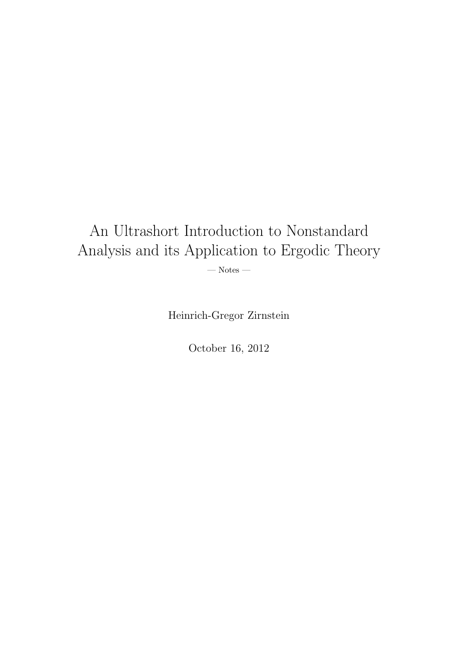# An Ultrashort Introduction to Nonstandard Analysis and its Application to Ergodic Theory  $-$  Notes  $-$

Heinrich-Gregor Zirnstein

October 16, 2012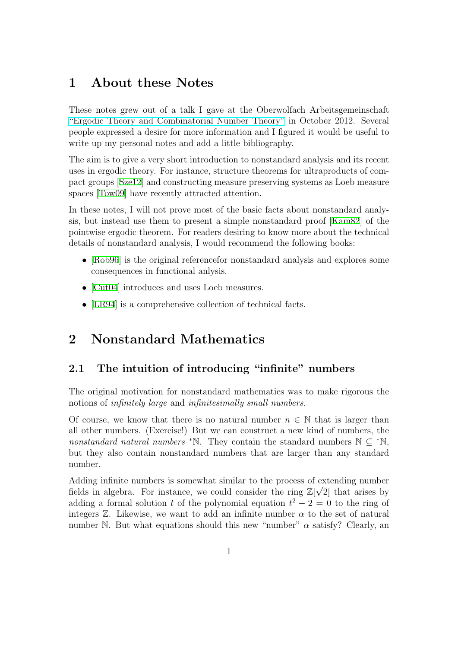## **1 About these Notes**

These notes grew out of a talk I gave at the Oberwolfach Arbeitsgemeinschaft "Ergodic Theory and Combinatorial Number Theory" in October 2012. Several people expressed a desire for more information and I figured it would be useful to write up my personal notes and add a little bibliography.

[The aim is to give a very short introduction to nonstand](http://www.mfo.de/occasion/1241/www_view)ard analysis and its recent uses in ergodic theory. For instance, structure theorems for ultraproducts of compact groups [Sze12] and constructing measure preserving systems as Loeb measure spaces [Tow09] have recently attracted attention.

In these notes, I will not prove most of the basic facts about nonstandard analysis, but inst[ead us](#page-12-0)e them to present a simple nonstandard proof [Kam82] of the pointwi[se ergo](#page-12-1)dic theorem. For readers desiring to know more about the technical details of nonstandard analysis, I would recommend the following books:

- [Rob96] is the original reference for nonstandard analysis and [explore](#page-12-2)s some consequences in functional anlysis.
- [Cut04] introduces and uses Loeb measures.
- [[LR94\]](#page-12-3) is a comprehensive collection of technical facts.

## **2 [Non](#page-12-4)standard Mathematics**

## **2.1 The intuition of introducing "infinite" numbers**

The original motivation for nonstandard mathematics was to make rigorous the notions of *infinitely large* and *infinitesimally small numbers*.

Of course, we know that there is no natural number  $n \in \mathbb{N}$  that is larger than all other numbers. (Exercise!) But we can construct a new kind of numbers, the *nonstandard natural numbers <sup>∗</sup>*N. They contain the standard numbers N *⊆ <sup>∗</sup>*N, but they also contain nonstandard numbers that are larger than any standard number.

Adding infinite numbers is somewhat similar to the process of extending number *√* fields in algebra. For instance, we could consider the ring  $\mathbb{Z}[\sqrt{2}]$  that arises by adding a formal solution *t* of the polynomial equation  $t^2 - 2 = 0$  to the ring of integers  $\mathbb{Z}$ . Likewise, we want to add an infinite number  $\alpha$  to the set of natural number N. But what equations should this new "number" *α* satisfy? Clearly, an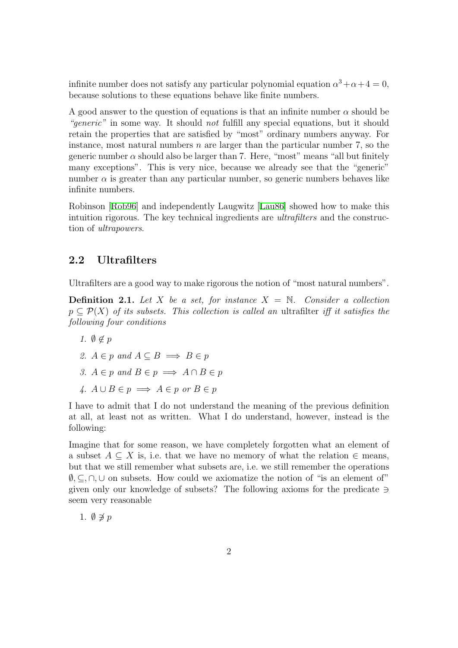infinite number does not satisfy any particular polynomial equation  $\alpha^3 + \alpha + 4 = 0$ , because solutions to these equations behave like finite numbers.

A good answer to the question of equations is that an infinite number  $\alpha$  should be *"generic"* in some way. It should *not* fulfill any special equations, but it should retain the properties that are satisfied by "most" ordinary numbers anyway. For instance, most natural numbers *n* are larger than the particular number 7, so the generic number  $\alpha$  should also be larger than 7. Here, "most" means "all but finitely many exceptions". This is very nice, because we already see that the "generic" number  $\alpha$  is greater than any particular number, so generic numbers behaves like infinite numbers.

Robinson [Rob96] and independently Laugwitz [Lau86] showed how to make this intuition rigorous. The key technical ingredients are *ultrafilters* and the construction of *ultrapowers*.

## **2.2 Ultrafilters**

Ultrafilters are a good way to make rigorous the notion of "most natural numbers".

**Definition 2.1.** Let X be a set, for instance  $X = N$ . Consider a collection *p ⊆ P*(*X*) *of its subsets. This collection is called an* ultrafilter *iff it satisfies the following four conditions*

- *1.*  $\emptyset \notin p$
- *2. A*  $∈$  *p and A*  $⊆$  *B*  $⇒$  *B*  $∈$  *p*
- *3.*  $A \in p$  and  $B \in p$   $\implies$   $A \cap B \in p$
- $A \cup B \in p \implies A \in p \text{ or } B \in p$

I have to admit that I do not understand the meaning of the previous definition at all, at least not as written. What I do understand, however, instead is the following:

Imagine that for some reason, we have completely forgotten what an element of a subset  $A \subseteq X$  is, i.e. that we have no memory of what the relation  $\in$  means, but that we still remember what subsets are, i.e. we still remember the operations *∅, ⊆, ∩,∪* on subsets. How could we axiomatize the notion of "is an element of" given only our knowledge of subsets? The following axioms for the predicate *∋* seem very reasonable

1. *∅ ̸∋ p*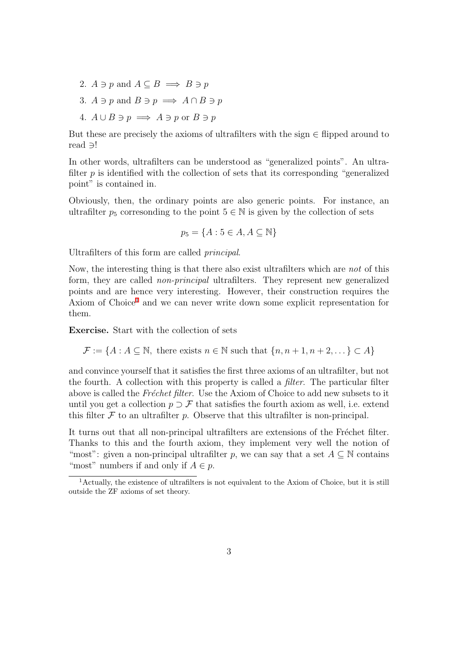- 2.  $A \ni p$  and  $A \subseteq B \implies B \ni p$
- 3.  $A \ni p$  and  $B \ni p \implies A \cap B \ni p$
- 4.  $A \cup B \ni p \implies A \ni p$  or  $B \ni p$

But these are precisely the axioms of ultrafilters with the sign *∈* flipped around to read *∋*!

In other words, ultrafilters can be understood as "generalized points". An ultrafilter  $p$  is identified with the collection of sets that its corresponding "generalized" point" is contained in.

Obviously, then, the ordinary points are also generic points. For instance, an ultrafilter  $p_5$  corresonding to the point  $5 \in \mathbb{N}$  is given by the collection of sets

$$
p_5 = \{A : 5 \in A, A \subseteq \mathbb{N}\}
$$

Ultrafilters of this form are called *principal*.

Now, the interesting thing is that there also exist ultrafilters which are *not* of this form, they are called *non-principal* ultrafilters. They represent new generalized points and are hence very interesting. However, their construction requires the Axiom of Choice<sup>1</sup> and we can never write down some explicit representation for them.

**Exercise.** Start with the collection of sets

 $\mathcal{F} := \{A : A \subseteq \mathbb{N}, \text{ there exists } n \in \mathbb{N} \text{ such that } \{n, n+1, n+2, \dots\} \subset A\}$ 

and convince yourself that it satisfies the first three axioms of an ultrafilter, but not the fourth. A collection with this property is called a *filter*. The particular filter above is called the *Fréchet filter*. Use the Axiom of Choice to add new subsets to it until you get a collection  $p \supset \mathcal{F}$  that satisfies the fourth axiom as well, i.e. extend this filter  $F$  to an ultrafilter  $p$ . Observe that this ultrafilter is non-principal.

It turns out that all non-principal ultrafilters are extensions of the Fréchet filter. Thanks to this and the fourth axiom, they implement very well the notion of "most": given a non-principal ultrafilter *p*, we can say that a set  $A \subseteq \mathbb{N}$  contains "most" numbers if and only if  $A \in p$ .

<sup>1</sup>Actually, the existence of ultrafilters is not equivalent to the Axiom of Choice, but it is still outside the ZF axioms of set theory.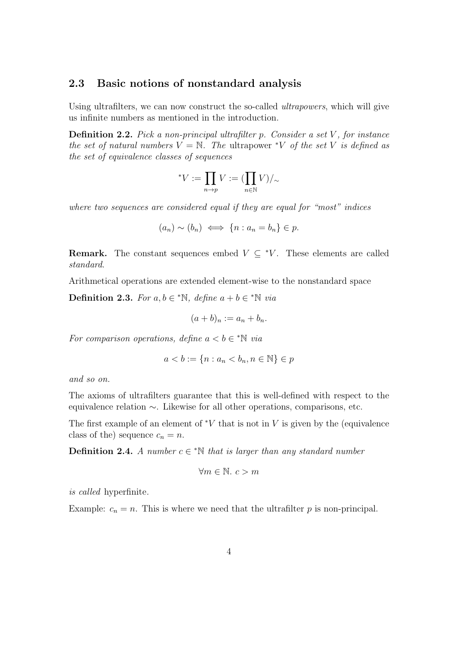#### **2.3 Basic notions of nonstandard analysis**

Using ultrafilters, we can now construct the so-called *ultrapowers*, which will give us infinite numbers as mentioned in the introduction.

**Definition 2.2.** *Pick a non-principal ultrafilter p. Consider a set V , for instance the set of natural numbers*  $V = N$ *. The ultrapower \*V of the set V is defined as the set of equivalence classes of sequences*

$$
{}^*V:=\prod_{n\to p}V:=(\prod_{n\in\mathbb{N}}V)/_\sim
$$

*where two sequences are considered equal if they are equal for "most" indices*

$$
(a_n) \sim (b_n) \iff \{n : a_n = b_n\} \in p.
$$

**Remark.** The constant sequences embed  $V \subseteq {}^*V$ . These elements are called *standard*.

Arithmetical operations are extended element-wise to the nonstandard space

**Definition 2.3.** *For*  $a, b \in \mathbb{N}$ *, define*  $a + b \in \mathbb{N}$  *via* 

$$
(a+b)_n := a_n + b_n.
$$

*For comparison operations, define*  $a < b \in \mathbb{N}$  *via* 

$$
a < b := \{n : a_n < b_n, n \in \mathbb{N}\} \in p
$$

*and so on.*

The axioms of ultrafilters guarantee that this is well-defined with respect to the equivalence relation *∼*. Likewise for all other operations, comparisons, etc.

The first example of an element of *<sup>∗</sup>V* that is not in *V* is given by the (equivalence class of the) sequence  $c_n = n$ .

**Definition 2.4.** *A number*  $c \in \mathbb{N}$  *that is larger than any standard number* 

$$
\forall m \in \mathbb{N}. \ c > m
$$

*is called* hyperfinite*.*

Example:  $c_n = n$ . This is where we need that the ultrafilter  $p$  is non-principal.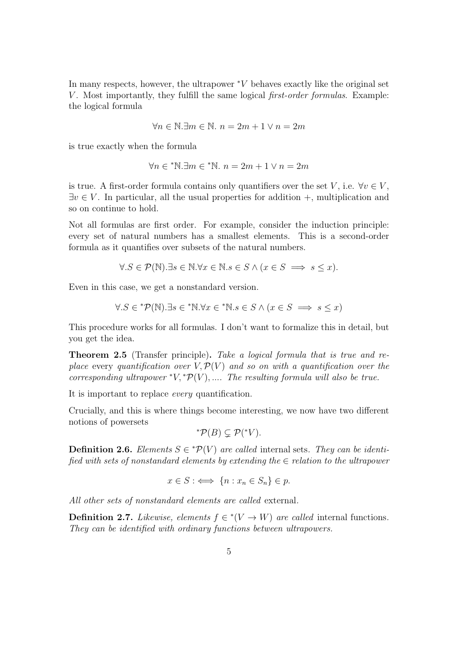In many respects, however, the ultrapower *<sup>∗</sup>V* behaves exactly like the original set *V*. Most importantly, they fulfill the same logical *first-order formulas*. Example: the logical formula

$$
\forall n \in \mathbb{N}.\exists m \in \mathbb{N}.\ n = 2m + 1 \lor n = 2m
$$

is true exactly when the formula

$$
\forall n \in \mathbf{N}.\exists m \in \mathbf{N}.\ n = 2m + 1 \lor n = 2m
$$

is true. A first-order formula contains only quantifiers over the set *V*, i.e.  $\forall v \in V$ , *∃v ∈ V* . In particular, all the usual properties for addition +, multiplication and so on continue to hold.

Not all formulas are first order. For example, consider the induction principle: every set of natural numbers has a smallest elements. This is a second-order formula as it quantifies over subsets of the natural numbers.

$$
\forall . S \in \mathcal{P}(\mathbb{N}). \exists s \in \mathbb{N}. \forall x \in \mathbb{N}. s \in S \land (x \in S \implies s \le x).
$$

Even in this case, we get a nonstandard version.

$$
\forall . S \in {}^* \mathcal{P}(\mathbb{N}). \exists s \in {}^* \mathbb{N}. \forall x \in {}^* \mathbb{N}. s \in S \land (x \in S \implies s \le x)
$$

This procedure works for all formulas. I don't want to formalize this in detail, but you get the idea.

**Theorem 2.5** (Transfer principle)**.** *Take a logical formula that is true and replace* every *quantification over*  $V, \mathcal{P}(V)$  *and so on with a quantification over the corresponding ultrapower*  $*V, *P(V), \ldots$  *The resulting formula will also be true.* 

It is important to replace *every* quantification.

Crucially, and this is where things become interesting, we now have two different notions of powersets

$$
^{\ast}\mathcal{P}(B) \subsetneq \mathcal{P}(^{\ast}V).
$$

**Definition 2.6.** *Elements*  $S \in {}^* \mathcal{P}(V)$  *are called* internal sets. They can be identi*fied with sets of nonstandard elements by extending the ∈ relation to the ultrapower*

$$
x \in S : \iff \{n : x_n \in S_n\} \in p.
$$

*All other sets of nonstandard elements are called* external*.*

**Definition 2.7.** *Likewise, elements*  $f \in {}^* (V \to W)$  *are called* internal functions. *They can be identified with ordinary functions between ultrapowers.*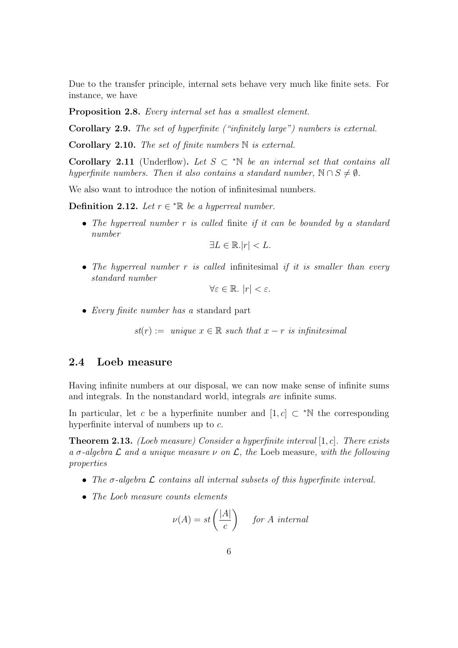Due to the transfer principle, internal sets behave very much like finite sets. For instance, we have

**Proposition 2.8.** *Every internal set has a smallest element.*

**Corollary 2.9.** *The set of hyperfinite ("infinitely large") numbers is external.*

**Corollary 2.10.** *The set of finite numbers* N *is external.*

**Corollary 2.11** (Underflow). Let  $S \subset \mathbb{N}$  be an internal set that contains all *hyperfinite numbers. Then it also contains a standard number,*  $N \cap S \neq \emptyset$ .

We also want to introduce the notion of infinitesimal numbers.

**Definition 2.12.** *Let*  $r \in \mathbb{R}$  *be a hyperreal number.* 

*• The hyperreal number r is called* finite *if it can be bounded by a standard number*

$$
\exists L \in \mathbb{R}.|r| < L.
$$

*• The hyperreal number r is called* infinitesimal *if it is smaller than every standard number*

$$
\forall \varepsilon \in \mathbb{R}. \, |r| < \varepsilon.
$$

*• Every finite number has a* standard part

 $st(r) := unique \ x \in \mathbb{R} such that x - r \ is \ infinitesimal$ 

#### **2.4 Loeb measure**

Having infinite numbers at our disposal, we can now make sense of infinite sums and integrals. In the nonstandard world, integrals *are* infinite sums.

In particular, let *c* be a hyperfinite number and  $[1, c] \subset \mathbb{R}^N$  the corresponding hyperfinite interval of numbers up to *c*.

**Theorem 2.13.** *(Loeb measure) Consider a hyperfinite interval* [1*, c*]*. There exists a σ-algebra L and a unique measure ν on L, the* Loeb measure*, with the following properties*

- *• The σ-algebra L contains all internal subsets of this hyperfinite interval.*
- *• The Loeb measure counts elements*

$$
\nu(A) = st\left(\frac{|A|}{c}\right) \quad \text{for } A \text{ internal}
$$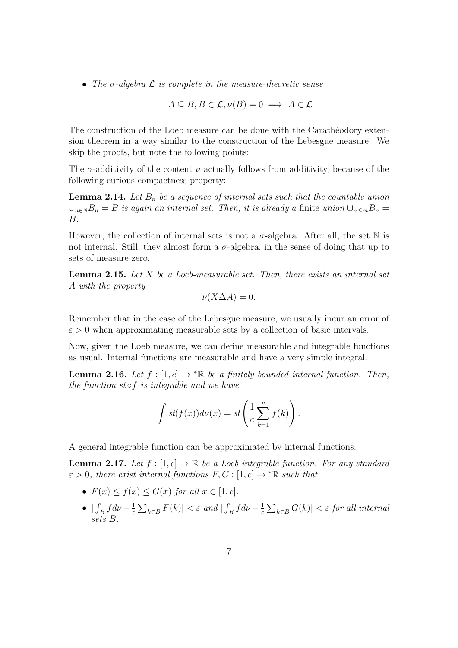*• The σ-algebra L is complete in the measure-theoretic sense*

$$
A \subseteq B, B \in \mathcal{L}, \nu(B) = 0 \implies A \in \mathcal{L}
$$

The construction of the Loeb measure can be done with the Carathéodory extension theorem in a way similar to the construction of the Lebesgue measure. We skip the proofs, but note the following points:

The  $\sigma$ -additivity of the content  $\nu$  actually follows from additivity, because of the following curious compactness property:

**Lemma 2.14.** Let  $B_n$  be a sequence of internal sets such that the countable union *∪*<sup>*n*∈N</sub>*B*<sup>*n*</sup> = *B is again an internal set. Then, <i>it is already a* finite *union*  $\cup_{n \le m} B_n$  =</sup> *B.*

However, the collection of internal sets is not a  $\sigma$ -algebra. After all, the set  $\mathbb N$  is not internal. Still, they almost form a  $\sigma$ -algebra, in the sense of doing that up to sets of measure zero.

**Lemma 2.15.** *Let X be a Loeb-measurable set. Then, there exists an internal set A with the property*

$$
\nu(X\Delta A) = 0.
$$

Remember that in the case of the Lebesgue measure, we usually incur an error of  $\varepsilon > 0$  when approximating measurable sets by a collection of basic intervals.

Now, given the Loeb measure, we can define measurable and integrable functions as usual. Internal functions are measurable and have a very simple integral.

**Lemma 2.16.** *Let*  $f : [1, c] \rightarrow \mathbb{R}$  *be a finitely bounded internal function. Then, the function st ◦f is integrable and we have*

$$
\int st(f(x))d\nu(x) = st\left(\frac{1}{c}\sum_{k=1}^{c} f(k)\right).
$$

A general integrable function can be approximated by internal functions.

**Lemma 2.17.** Let  $f : [1, c] \to \mathbb{R}$  be a Loeb integrable function. For any standard  $\varepsilon > 0$ *, there exist internal functions*  $F, G : [1, c] \rightarrow^* \mathbb{R}$  *such that* 

- *•*  $F(x) \leq f(x) \leq G(x)$  *for all*  $x \in [1, c]$ *.*
- $\int_B f d\nu \frac{1}{c}$  $\frac{1}{c} \sum_{k \in B} F(k)$   $| \leq \varepsilon$  *and*  $| \int_B f d\nu - \frac{1}{c}$  $\frac{1}{c} \sum_{k \in B} G(k)$  |  $\lt \varepsilon$  *for all internal sets B.*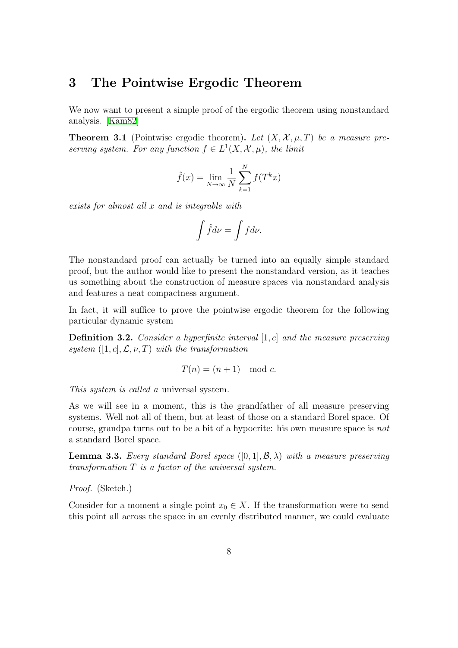## **3 The Pointwise Ergodic Theorem**

We now want to present a simple proof of the ergodic theorem using nonstandard analysis. [Kam82]

**Theorem 3.1** (Pointwise ergodic theorem). Let  $(X, \mathcal{X}, \mu, T)$  be a measure pre*serving system. For any function*  $f \in L^1(X, \mathcal{X}, \mu)$ *, the limit* 

$$
\hat{f}(x) = \lim_{N \to \infty} \frac{1}{N} \sum_{k=1}^{N} f(T^k x)
$$

*exists for almost all x and is integrable with*

$$
\int \hat f d\nu = \int f d\nu.
$$

The nonstandard proof can actually be turned into an equally simple standard proof, but the author would like to present the nonstandard version, as it teaches us something about the construction of measure spaces via nonstandard analysis and features a neat compactness argument.

In fact, it will suffice to prove the pointwise ergodic theorem for the following particular dynamic system

**Definition 3.2.** *Consider a hyperfinite interval* [1*, c*] *and the measure preserving*  $system([1, c], \mathcal{L}, \nu, T)$  *with the transformation* 

$$
T(n) = (n+1) \mod c.
$$

*This system is called a* universal system*.*

As we will see in a moment, this is the grandfather of all measure preserving systems. Well not all of them, but at least of those on a standard Borel space. Of course, grandpa turns out to be a bit of a hypocrite: his own measure space is *not* a standard Borel space.

**Lemma 3.3.** *Every standard Borel space* ([0*,* 1]*, B, λ*) *with a measure preserving transformation T is a factor of the universal system.*

*Proof.* (Sketch.)

Consider for a moment a single point  $x_0 \in X$ . If the transformation were to send this point all across the space in an evenly distributed manner, we could evaluate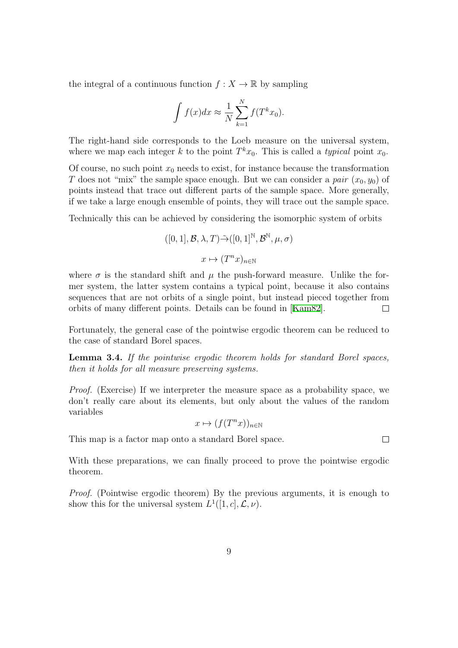the integral of a continuous function  $f: X \to \mathbb{R}$  by sampling

$$
\int f(x)dx \approx \frac{1}{N} \sum_{k=1}^{N} f(T^k x_0).
$$

The right-hand side corresponds to the Loeb measure on the universal system, where we map each integer *k* to the point  $T^k x_0$ . This is called a *typical* point  $x_0$ .

Of course, no such point  $x_0$  needs to exist, for instance because the transformation *T* does not "mix" the sample space enough. But we can consider a *pair*  $(x_0, y_0)$  of points instead that trace out different parts of the sample space. More generally, if we take a large enough ensemble of points, they will trace out the sample space.

Technically this can be achieved by considering the isomorphic system of orbits

$$
([0, 1], \mathcal{B}, \lambda, T) \tilde{\rightarrow} ([0, 1]^{\mathbb{N}}, \mathcal{B}^{\mathbb{N}}, \mu, \sigma)
$$

$$
x \mapsto (T^n x)_{n \in \mathbb{N}}
$$

where  $\sigma$  is the standard shift and  $\mu$  the push-forward measure. Unlike the former system, the latter system contains a typical point, because it also contains sequences that are not orbits of a single point, but instead pieced together from orbits of many different points. Details can be found in [Kam82].  $\Box$ 

Fortunately, the general case of the pointwise ergodic theorem can be reduced to the case of standard Borel spaces.

**Lemma 3.4.** *If the pointwise ergodic theorem holds for standard Borel spaces, then it holds for all measure preserving systems.*

*Proof.* (Exercise) If we interpreter the measure space as a probability space, we don't really care about its elements, but only about the values of the random variables

$$
x \mapsto (f(T^n x))_{n \in \mathbb{N}}
$$

This map is a factor map onto a standard Borel space.

With these preparations, we can finally proceed to prove the pointwise ergodic theorem.

*Proof.* (Pointwise ergodic theorem) By the previous arguments, it is enough to show this for the universal system  $L^1([1, c], \mathcal{L}, \nu)$ .

 $\Box$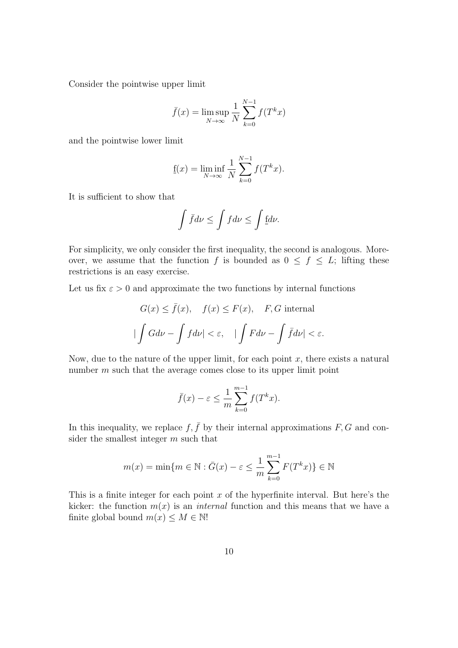Consider the pointwise upper limit

$$
\bar{f}(x) = \limsup_{N \to \infty} \frac{1}{N} \sum_{k=0}^{N-1} f(T^k x)
$$

and the pointwise lower limit

$$
f(x) = \liminf_{N \to \infty} \frac{1}{N} \sum_{k=0}^{N-1} f(T^k x).
$$

It is sufficient to show that

$$
\int \bar{f}d\nu \le \int f d\nu \le \int \underline{f}d\nu.
$$

For simplicity, we only consider the first inequality, the second is analogous. Moreover, we assume that the function *f* is bounded as  $0 \le f \le L$ ; lifting these restrictions is an easy exercise.

Let us fix  $\varepsilon > 0$  and approximate the two functions by internal functions

$$
G(x) \le \bar{f}(x), \quad f(x) \le F(x), \quad F, G \text{ internal}
$$

$$
|\int G d\nu - \int f d\nu| < \varepsilon, \quad |\int F d\nu - \int \bar{f} d\nu| < \varepsilon.
$$

Now, due to the nature of the upper limit, for each point  $x$ , there exists a natural number *m* such that the average comes close to its upper limit point

$$
\bar{f}(x) - \varepsilon \le \frac{1}{m} \sum_{k=0}^{m-1} f(T^k x).
$$

In this inequality, we replace  $f, \bar{f}$  by their internal approximations  $F, G$  and consider the smallest integer *m* such that

$$
m(x) = \min\{m \in \mathbb{N} : \overline{G}(x) - \varepsilon \le \frac{1}{m} \sum_{k=0}^{m-1} F(T^k x) \} \in \mathbb{N}
$$

This is a finite integer for each point *x* of the hyperfinite interval. But here's the kicker: the function  $m(x)$  is an *internal* function and this means that we have a finite global bound  $m(x) \leq M \in \mathbb{N}!$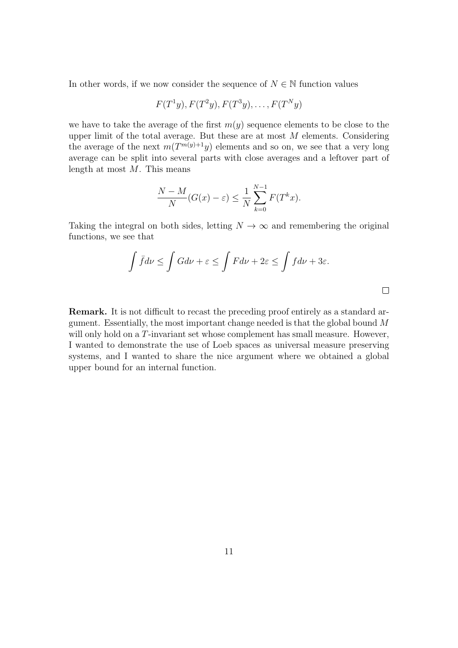In other words, if we now consider the sequence of  $N \in \mathbb{N}$  function values

$$
F(T1y), F(T2y), F(T3y), \ldots, F(TNy)
$$

we have to take the average of the first  $m(y)$  sequence elements to be close to the upper limit of the total average. But these are at most *M* elements. Considering the average of the next  $m(T^{m(y)+1}y)$  elements and so on, we see that a very long average can be split into several parts with close averages and a leftover part of length at most *M*. This means

$$
\frac{N-M}{N}(G(x)-\varepsilon) \le \frac{1}{N}\sum_{k=0}^{N-1}F(T^kx).
$$

Taking the integral on both sides, letting  $N \to \infty$  and remembering the original functions, we see that

$$
\int \bar{f}d\nu \le \int Gd\nu + \varepsilon \le \int Fd\nu + 2\varepsilon \le \int f d\nu + 3\varepsilon.
$$

 $\Box$ 

**Remark.** It is not difficult to recast the preceding proof entirely as a standard argument. Essentially, the most important change needed is that the global bound *M* will only hold on a *T*-invariant set whose complement has small measure. However, I wanted to demonstrate the use of Loeb spaces as universal measure preserving systems, and I wanted to share the nice argument where we obtained a global upper bound for an internal function.